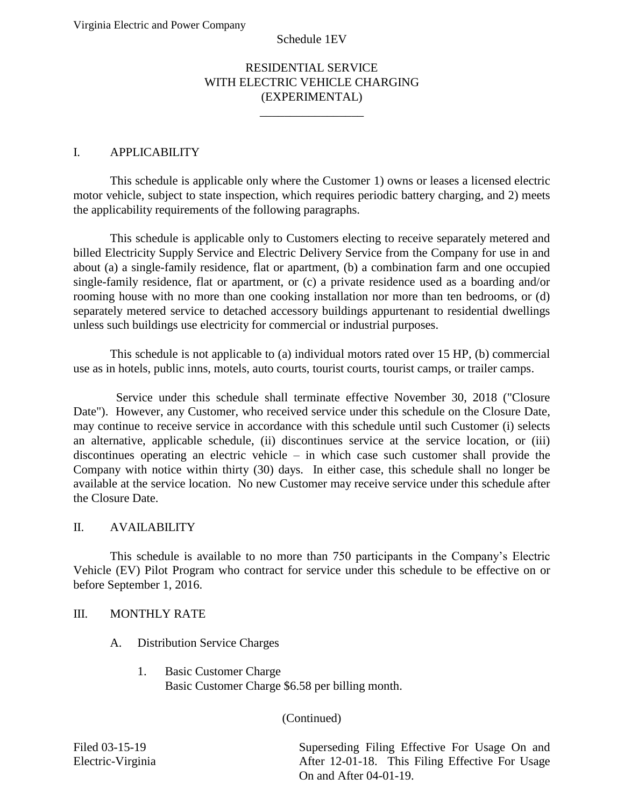#### RESIDENTIAL SERVICE WITH ELECTRIC VEHICLE CHARGING (EXPERIMENTAL)

 $\overline{\phantom{a}}$  , where  $\overline{\phantom{a}}$ 

### I. APPLICABILITY

 This schedule is applicable only where the Customer 1) owns or leases a licensed electric motor vehicle, subject to state inspection, which requires periodic battery charging, and 2) meets the applicability requirements of the following paragraphs.

 billed Electricity Supply Service and Electric Delivery Service from the Company for use in and about (a) a single-family residence, flat or apartment, (b) a combination farm and one occupied single-family residence, flat or apartment, or (c) a private residence used as a boarding and/or rooming house with no more than one cooking installation nor more than ten bedrooms, or (d) This schedule is applicable only to Customers electing to receive separately metered and separately metered service to detached accessory buildings appurtenant to residential dwellings unless such buildings use electricity for commercial or industrial purposes.

This schedule is not applicable to (a) individual motors rated over 15 HP, (b) commercial use as in hotels, public inns, motels, auto courts, tourist courts, tourist camps, or trailer camps.

 Date"). However, any Customer, who received service under this schedule on the Closure Date, may continue to receive service in accordance with this schedule until such Customer (i) selects discontinues operating an electric vehicle – in which case such customer shall provide the Company with notice within thirty (30) days. In either case, this schedule shall no longer be available at the service location. No new Customer may receive service under this schedule after Service under this schedule shall terminate effective November 30, 2018 ("Closure an alternative, applicable schedule, (ii) discontinues service at the service location, or (iii) the Closure Date.

#### II. AVAILABILITY

 Vehicle (EV) Pilot Program who contract for service under this schedule to be effective on or This schedule is available to no more than 750 participants in the Company's Electric before September 1, 2016.

#### III. MONTHLY RATE

- A. Distribution Service Charges
	- 1. Basic Customer Charge Basic Customer Charge \$6.58 per billing month.

(Continued)

Filed 03-15-19 Superseding Filing Effective For Usage On and Electric-Virginia After 12-01-18. This Filing Effective For Usage On and After 04-01-19.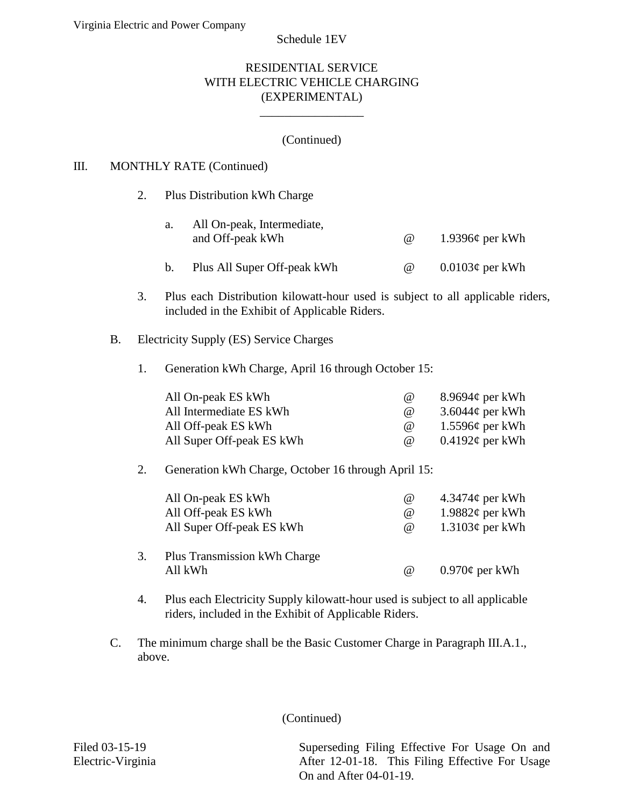Schedule 1EV

#### RESIDENTIAL SERVICE WITH ELECTRIC VEHICLE CHARGING (EXPERIMENTAL)

#### (Continued)

 $\overline{\phantom{a}}$  , where  $\overline{\phantom{a}}$ 

#### III. MONTHLY RATE (Continued)

|                                                             |  | 2. |                                                     | Plus Distribution kWh Charge                                                                                                       |                      |                          |  |  |
|-------------------------------------------------------------|--|----|-----------------------------------------------------|------------------------------------------------------------------------------------------------------------------------------------|----------------------|--------------------------|--|--|
|                                                             |  |    | a.                                                  | All On-peak, Intermediate,<br>and Off-peak kWh                                                                                     | @                    | 1.9396 $\phi$ per kWh    |  |  |
|                                                             |  |    | $\mathbf b$ .                                       | Plus All Super Off-peak kWh                                                                                                        | $^{\copyright}$      | $0.0103¢$ per kWh        |  |  |
|                                                             |  | 3. |                                                     | Plus each Distribution kilowatt-hour used is subject to all applicable riders,<br>included in the Exhibit of Applicable Riders.    |                      |                          |  |  |
| <b>Electricity Supply (ES) Service Charges</b><br><b>B.</b> |  |    |                                                     |                                                                                                                                    |                      |                          |  |  |
|                                                             |  | 1. |                                                     | Generation kWh Charge, April 16 through October 15:                                                                                |                      |                          |  |  |
|                                                             |  |    |                                                     | All On-peak ES kWh                                                                                                                 | $^{\copyright}$      | 8.9694 $\phi$ per kWh    |  |  |
|                                                             |  |    |                                                     | All Intermediate ES kWh                                                                                                            | $^{\copyright}$      | 3.6044 $\phi$ per kWh    |  |  |
|                                                             |  |    |                                                     | All Off-peak ES kWh                                                                                                                | $^{\textregistered}$ | $1.5596¢$ per kWh        |  |  |
|                                                             |  |    |                                                     | All Super Off-peak ES kWh                                                                                                          | @                    | $0.4192\phi$ per kWh     |  |  |
|                                                             |  | 2. | Generation kWh Charge, October 16 through April 15: |                                                                                                                                    |                      |                          |  |  |
|                                                             |  |    |                                                     | All On-peak ES kWh                                                                                                                 | $^{\omega}$          | $4.3474\phi$ per kWh     |  |  |
|                                                             |  |    |                                                     | All Off-peak ES kWh                                                                                                                | @                    | 1.9882 $\varphi$ per kWh |  |  |
|                                                             |  |    |                                                     | All Super Off-peak ES kWh                                                                                                          | @                    | $1.3103¢$ per kWh        |  |  |
|                                                             |  | 3. |                                                     | Plus Transmission kWh Charge                                                                                                       |                      |                          |  |  |
|                                                             |  |    |                                                     | All kWh                                                                                                                            | @                    | $0.970\phi$ per kWh      |  |  |
|                                                             |  |    | $\mathbf{D1}$                                       | $\mathbf{1}$ $\mathbf{1}$ $\mathbf{1}$ $\mathbf{1}$ $\mathbf{1}$ $\mathbf{1}$ $\mathbf{1}$ $\mathbf{1}$ $\mathbf{1}$<br>$\cdots$ 1 | $\cdots$             |                          |  |  |

- 4. Plus each Electricity Supply kilowatt-hour used is subject to all applicable riders, included in the Exhibit of Applicable Riders.
- C. The minimum charge shall be the Basic Customer Charge in Paragraph III.A.1., above.

(Continued)

Filed 03-15-19 Superseding Filing Effective For Usage On and Electric-Virginia After 12-01-18. This Filing Effective For Usage On and After 04-01-19.